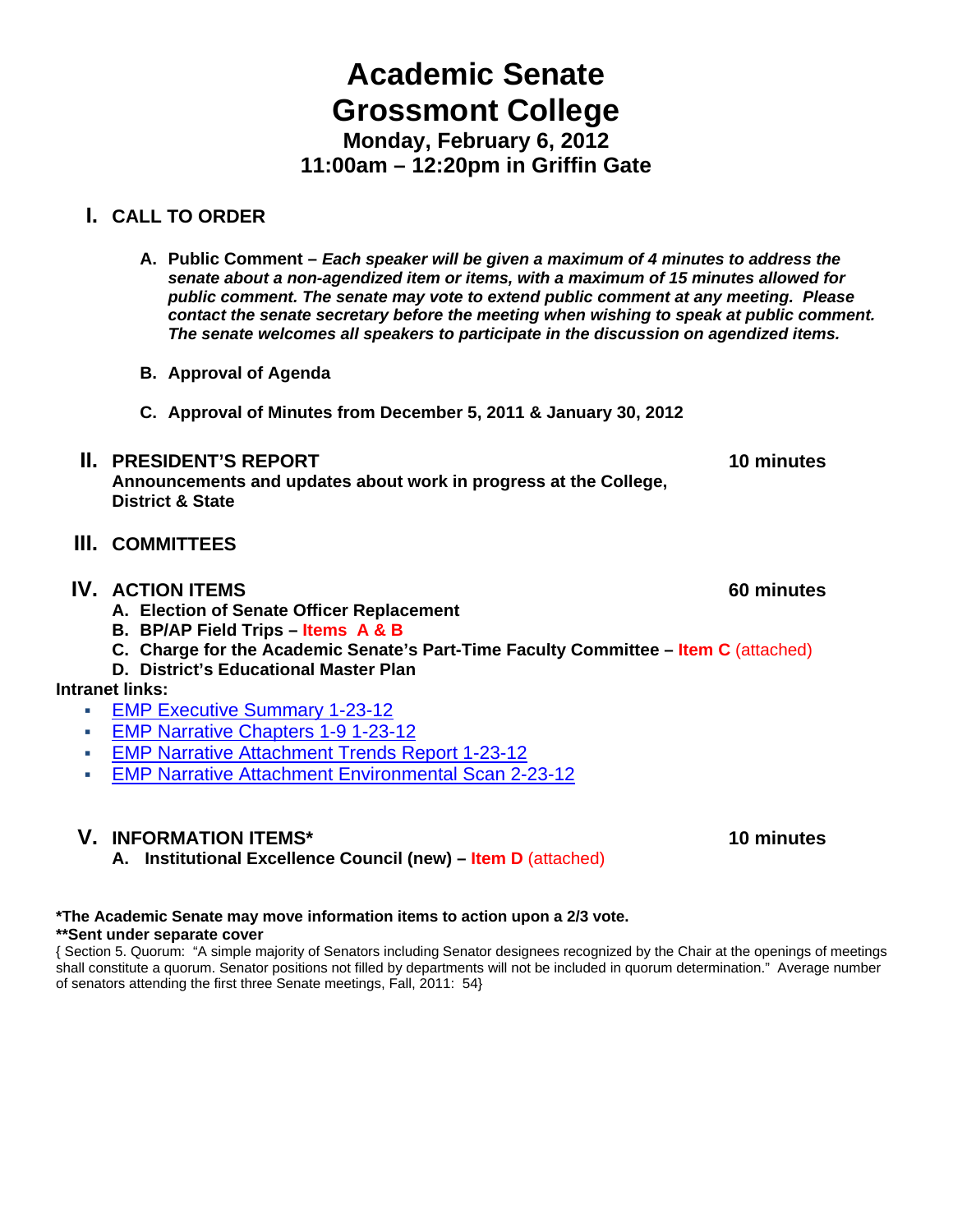# **Academic Senate Grossmont College Monday, February 6, 2012**

**11:00am – 12:20pm in Griffin Gate**

# **I. CALL TO ORDER**

- **A. Public Comment** *Each speaker will be given a maximum of 4 minutes to address the senate about a non-agendized item or items, with a maximum of 15 minutes allowed for public comment. The senate may vote to extend public comment at any meeting. Please contact the senate secretary before the meeting when wishing to speak at public comment. The senate welcomes all speakers to participate in the discussion on agendized items.*
- **B. Approval of Agenda**
- **C. Approval of Minutes from December 5, 2011 & January 30, 2012**

# **II.** PRESIDENT'S REPORT **10** minutes

**Announcements and updates about work in progress at the College, District & State** 

# **III. COMMITTEES**

# **IV. ACTION ITEMS** 60 minutes

- **A. Election of Senate Officer Replacement**
- **B. BP/AP Field Trips Items A & B**
- **C. Charge for the Academic Senate's Part-Time Faculty Committee Item C** (attached)
- **D. District's Educational Master Plan**

# **Intranet links:**

- EMP Executive Summary 1-23-12
- EMP Narrative Chapters 1-9 1-23-12
- EMP Narrative Attachment Trends Report 1-23-12
- EMP Narrative Attachment Environmental Scan 2-23-12

# **V. INFORMATION ITEMS\*** 10 minutes **10 minutes**

**A. Institutional Excellence Council (new) – Item D** (attached)

# **\*The Academic Senate may move information items to action upon a 2/3 vote.**

#### **\*\*Sent under separate cover**

{ Section 5. Quorum: "A simple majority of Senators including Senator designees recognized by the Chair at the openings of meetings shall constitute a quorum. Senator positions not filled by departments will not be included in quorum determination." Average number of senators attending the first three Senate meetings, Fall, 2011: 54}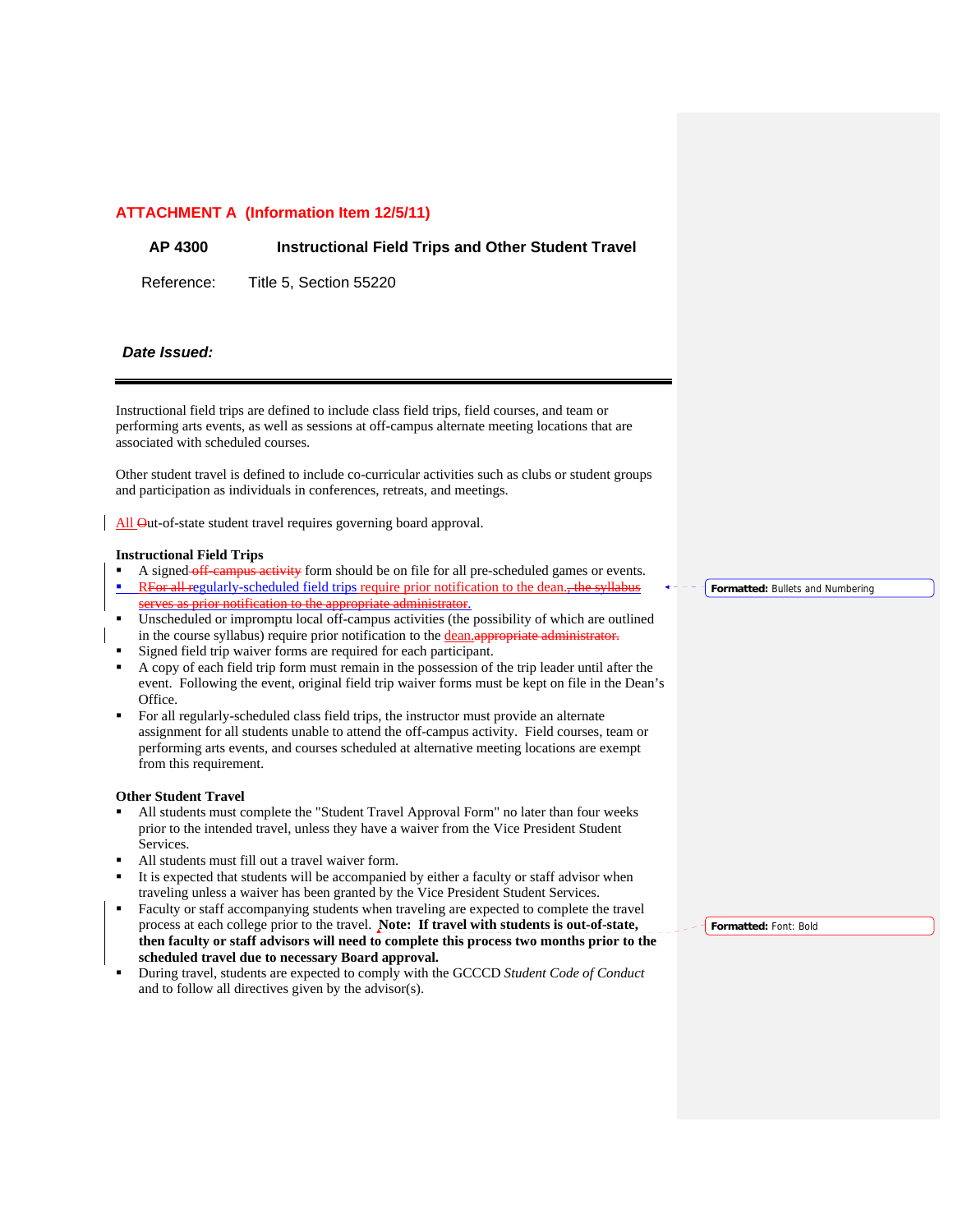#### **ATTACHMENT A (Information Item 12/5/11)**

#### **AP 4300 Instructional Field Trips and Other Student Travel**

Reference: Title 5, Section 55220

#### *Date Issued:*

Instructional field trips are defined to include class field trips, field courses, and team or performing arts events, as well as sessions at off-campus alternate meeting locations that are associated with scheduled courses.

Other student travel is defined to include co-curricular activities such as clubs or student groups and participation as individuals in conferences, retreats, and meetings.

All Out-of-state student travel requires governing board approval.

#### **Instructional Field Trips**

- A signed off-campus activity form should be on file for all pre-scheduled games or events.
- RFor all regularly-scheduled field trips require prior notification to the dean., the syllabus serves as prior notification to the appropriate administrator.
- Unscheduled or impromptu local off-campus activities (the possibility of which are outlined in the course syllabus) require prior notification to the dean.appropriate and the course syllabus) require prior notification to the dean.appropriate and the course of the course of the course of the course of the course
- Signed field trip waiver forms are required for each participant.
- A copy of each field trip form must remain in the possession of the trip leader until after the event. Following the event, original field trip waiver forms must be kept on file in the Dean's Office.
- For all regularly-scheduled class field trips, the instructor must provide an alternate assignment for all students unable to attend the off-campus activity. Field courses, team or performing arts events, and courses scheduled at alternative meeting locations are exempt from this requirement.

#### **Other Student Travel**

- All students must complete the "Student Travel Approval Form" no later than four weeks prior to the intended travel, unless they have a waiver from the Vice President Student Services.
- All students must fill out a travel waiver form.
- It is expected that students will be accompanied by either a faculty or staff advisor when traveling unless a waiver has been granted by the Vice President Student Services.
- Faculty or staff accompanying students when traveling are expected to complete the travel process at each college prior to the travel. **Note: If travel with students is out-of-state, then faculty or staff advisors will need to complete this process two months prior to the scheduled travel due to necessary Board approval.**
- During travel, students are expected to comply with the GCCCD *Student Code of Conduct* and to follow all directives given by the advisor(s).

**Formatted:** Bullets and Numbering

**Formatted:** Font: Bold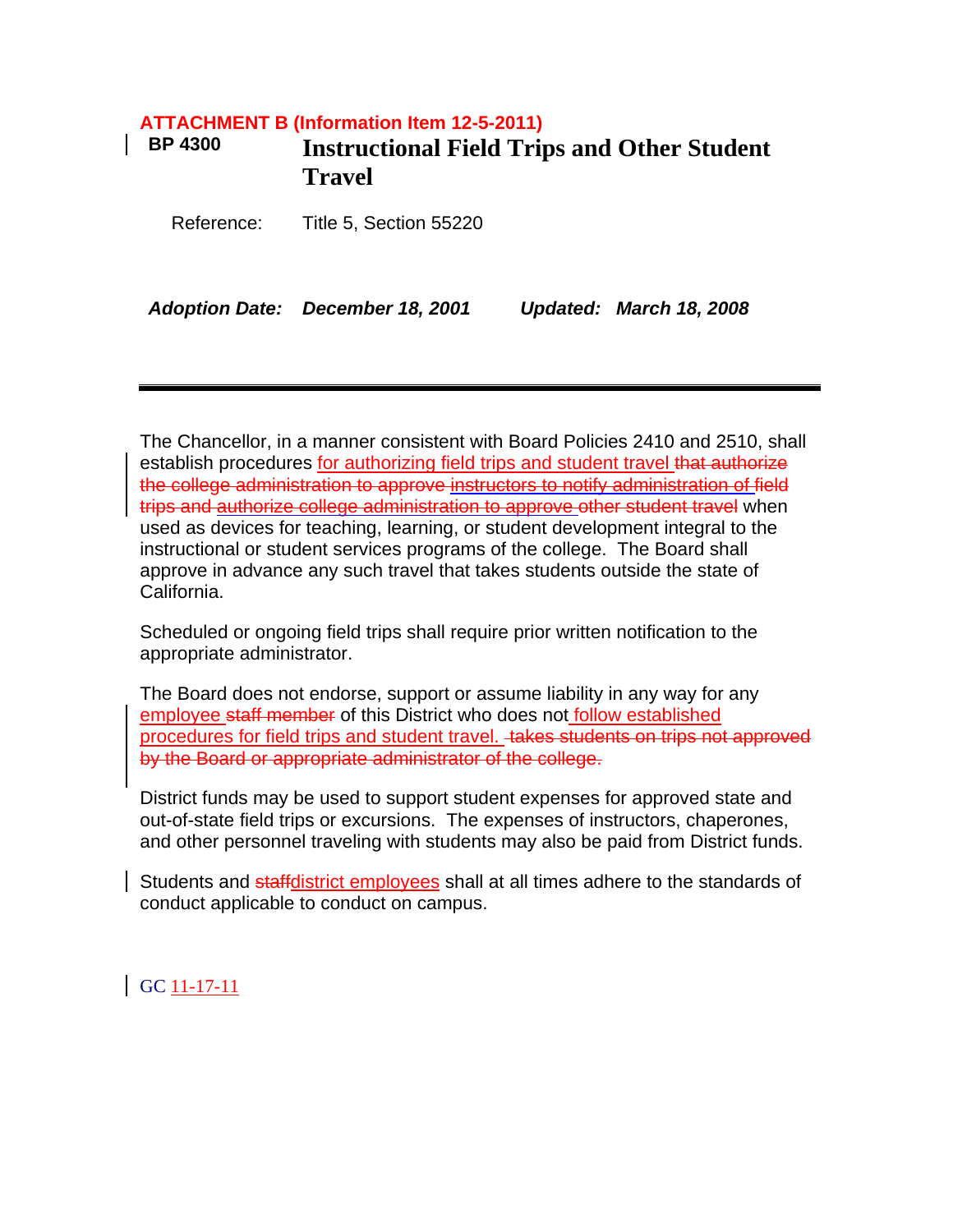# **ATTACHMENT B (Information Item 12-5-2011) BP 4300 Instructional Field Trips and Other Student Travel**

Reference: Title 5, Section 55220

*Adoption Date: December 18, 2001 Updated: March 18, 2008* 

The Chancellor, in a manner consistent with Board Policies 2410 and 2510, shall establish procedures for authorizing field trips and student travel that authorize the college administration to approve instructors to notify administration of field trips and authorize college administration to approve other student travel when used as devices for teaching, learning, or student development integral to the instructional or student services programs of the college. The Board shall approve in advance any such travel that takes students outside the state of California.

Scheduled or ongoing field trips shall require prior written notification to the appropriate administrator.

The Board does not endorse, support or assume liability in any way for any employee staff member of this District who does not follow established procedures for field trips and student travel. Hakes students on trips not approved by the Board or appropriate administrator of the college.

District funds may be used to support student expenses for approved state and out-of-state field trips or excursions. The expenses of instructors, chaperones, and other personnel traveling with students may also be paid from District funds.

Students and staffdistrict employees shall at all times adhere to the standards of conduct applicable to conduct on campus.

GC 11-17-11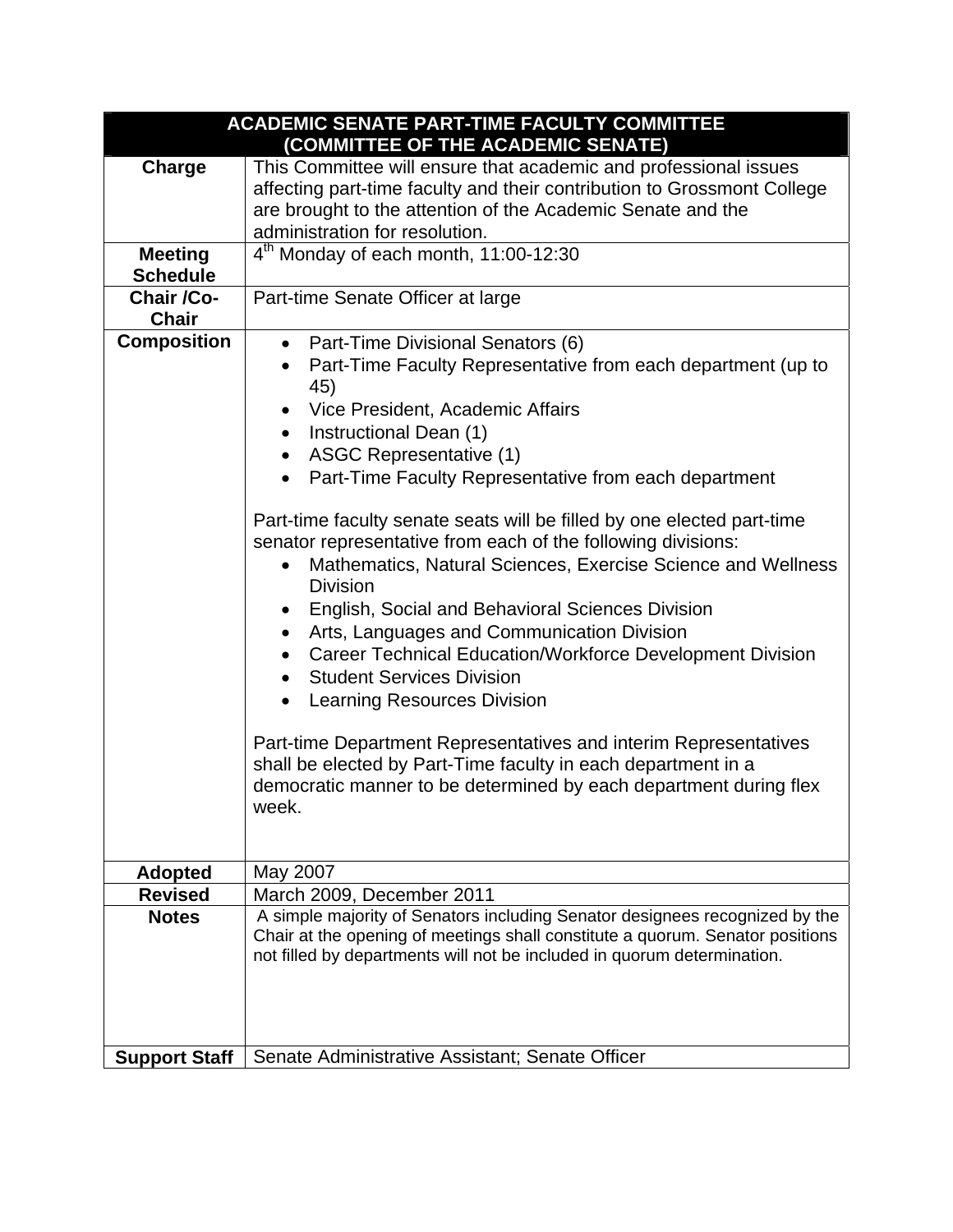| <b>ACADEMIC SENATE PART-TIME FACULTY COMMITTEE</b><br>(COMMITTEE OF THE ACADEMIC SENATE) |                                                                                                          |  |
|------------------------------------------------------------------------------------------|----------------------------------------------------------------------------------------------------------|--|
| Charge                                                                                   | This Committee will ensure that academic and professional issues                                         |  |
|                                                                                          | affecting part-time faculty and their contribution to Grossmont College                                  |  |
|                                                                                          | are brought to the attention of the Academic Senate and the                                              |  |
|                                                                                          | administration for resolution.                                                                           |  |
| <b>Meeting</b>                                                                           | $4th$ Monday of each month, 11:00-12:30                                                                  |  |
| <b>Schedule</b>                                                                          |                                                                                                          |  |
| Chair /Co-                                                                               | Part-time Senate Officer at large                                                                        |  |
| <b>Chair</b>                                                                             |                                                                                                          |  |
| <b>Composition</b>                                                                       | Part-Time Divisional Senators (6)<br>$\bullet$                                                           |  |
|                                                                                          | Part-Time Faculty Representative from each department (up to                                             |  |
|                                                                                          | 45)                                                                                                      |  |
|                                                                                          | Vice President, Academic Affairs                                                                         |  |
|                                                                                          | Instructional Dean (1)<br>$\bullet$                                                                      |  |
|                                                                                          | <b>ASGC Representative (1)</b>                                                                           |  |
|                                                                                          | Part-Time Faculty Representative from each department<br>$\bullet$                                       |  |
|                                                                                          |                                                                                                          |  |
|                                                                                          | Part-time faculty senate seats will be filled by one elected part-time                                   |  |
|                                                                                          | senator representative from each of the following divisions:                                             |  |
|                                                                                          | Mathematics, Natural Sciences, Exercise Science and Wellness<br>$\bullet$                                |  |
|                                                                                          | <b>Division</b>                                                                                          |  |
|                                                                                          | English, Social and Behavioral Sciences Division                                                         |  |
|                                                                                          | Arts, Languages and Communication Division                                                               |  |
|                                                                                          | <b>Career Technical Education/Workforce Development Division</b><br>$\bullet$                            |  |
|                                                                                          | <b>Student Services Division</b>                                                                         |  |
|                                                                                          | <b>Learning Resources Division</b><br>$\bullet$                                                          |  |
|                                                                                          |                                                                                                          |  |
|                                                                                          | Part-time Department Representatives and interim Representatives                                         |  |
|                                                                                          | shall be elected by Part-Time faculty in each department in a                                            |  |
|                                                                                          | democratic manner to be determined by each department during flex                                        |  |
|                                                                                          | week.                                                                                                    |  |
|                                                                                          |                                                                                                          |  |
|                                                                                          |                                                                                                          |  |
| <b>Adopted</b>                                                                           | May 2007                                                                                                 |  |
| <b>Revised</b><br><b>Notes</b>                                                           | March 2009, December 2011<br>A simple majority of Senators including Senator designees recognized by the |  |
|                                                                                          | Chair at the opening of meetings shall constitute a quorum. Senator positions                            |  |
|                                                                                          | not filled by departments will not be included in quorum determination.                                  |  |
|                                                                                          |                                                                                                          |  |
|                                                                                          |                                                                                                          |  |
|                                                                                          |                                                                                                          |  |
|                                                                                          |                                                                                                          |  |
| <b>Support Staff</b>                                                                     | Senate Administrative Assistant; Senate Officer                                                          |  |